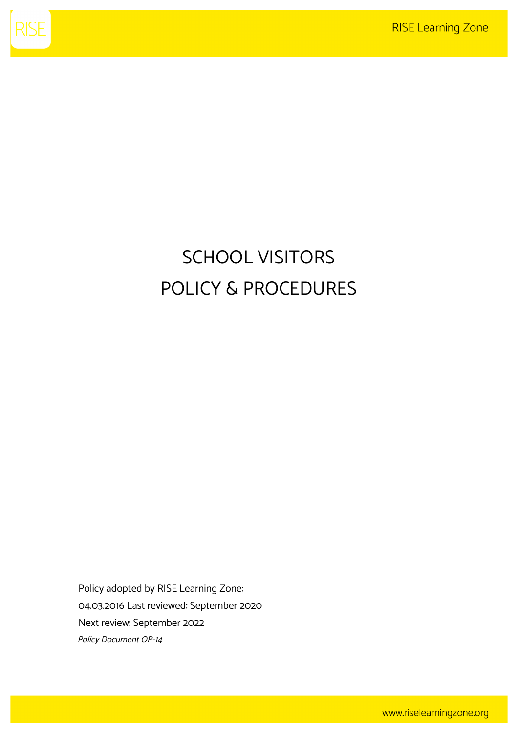

# SCHOOL VISITORS POLICY & PROCEDURES

Policy adopted by RISE Learning Zone: 04.03.2016 Last reviewed: September 2020 Next review: September 2022 Policy Document OP-14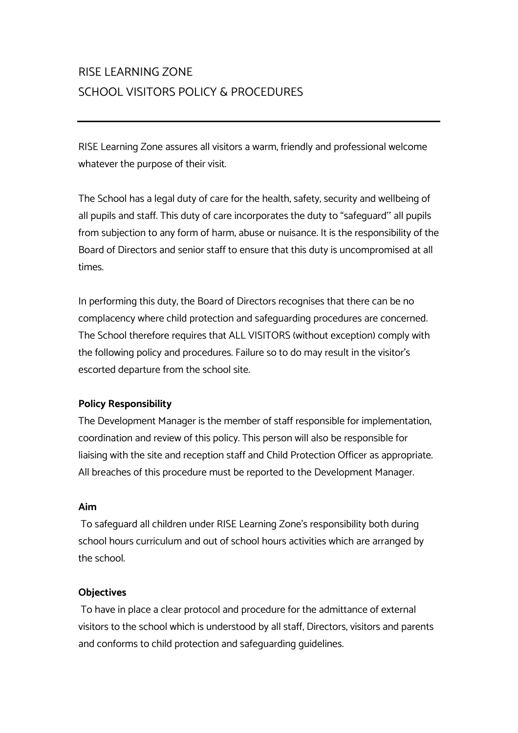## RISE LEARNING ZONE SCHOOL VISITORS POLICY & PROCEDURES

RISE Learning Zone assures all visitors a warm, friendly and professional welcome whatever the purpose of their visit.

The School has a legal duty of care for the health, safety, security and wellbeing of all pupils and staff. This duty of care incorporates the duty to "safeguard" all pupils from subjection to any form of harm, abuse or nuisance. It is the responsibility of the Board of Directors and senior staff to ensure that this duty is uncompromised at all times.

In performing this duty, the Board of Directors recognises that there can be no complacency where child protection and safeguarding procedures are concerned. The School therefore requires that ALL VISITORS (without exception) comply with the following policy and procedures. Failure so to do may result in the visitor's escorted departure from the school site.

### **Policy Responsibility**

The Development Manager is the member of staff responsible for implementation, coordination and review of this policy. This person will also be responsible for liaising with the site and reception staff and Child Protection Officer as appropriate. All breaches of this procedure must be reported to the Development Manager.

#### **Aim**

To safeguard all children under RISE Learning Zone's responsibility both during school hours curriculum and out of school hours activities which are arranged by the school.

#### **Objectives**

To have in place a clear protocol and procedure for the admittance of external visitors to the school which is understood by all staff, Directors, visitors and parents and conforms to child protection and safeguarding guidelines.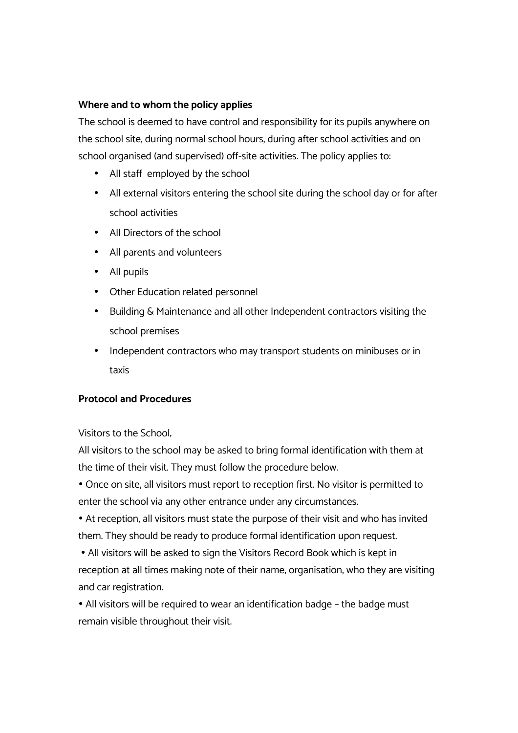#### **Where and to whom the policy applies**

The school is deemed to have control and responsibility for its pupils anywhere on the school site, during normal school hours, during after school activities and on school organised (and supervised) off-site activities. The policy applies to:

- All staff employed by the school
- All external visitors entering the school site during the school day or for after school activities
- All Directors of the school
- All parents and volunteers
- All pupils
- Other Education related personnel
- Building & Maintenance and all other Independent contractors visiting the school premises
- Independent contractors who may transport students on minibuses or in taxis

#### **Protocol and Procedures**

Visitors to the School;

All visitors to the school may be asked to bring formal identification with them at the time of their visit. They must follow the procedure below.

• Once on site, all visitors must report to reception first. No visitor is permitted to enter the school via any other entrance under any circumstances.

• At reception, all visitors must state the purpose of their visit and who has invited them. They should be ready to produce formal identification upon request.

• All visitors will be asked to sign the Visitors Record Book which is kept in reception at all times making note of their name, organisation, who they are visiting and car registration.

• All visitors will be required to wear an identification badge – the badge must remain visible throughout their visit.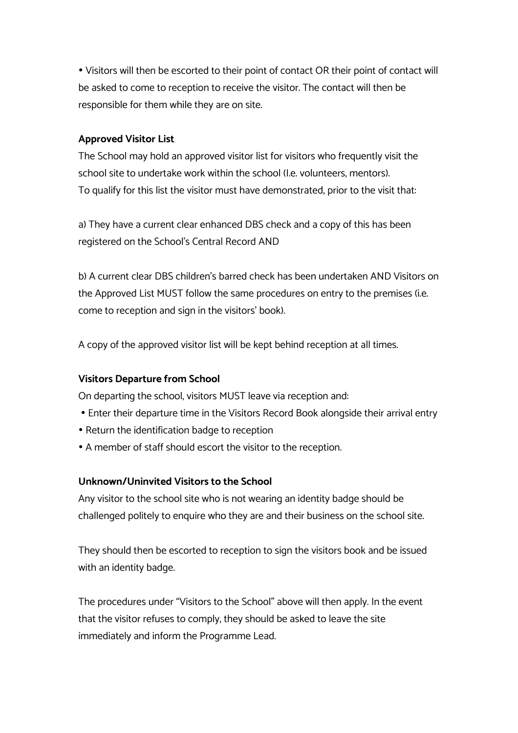• Visitors will then be escorted to their point of contact OR their point of contact will be asked to come to reception to receive the visitor. The contact will then be responsible for them while they are on site.

#### **Approved Visitor List**

The School may hold an approved visitor list for visitors who frequently visit the school site to undertake work within the school (I.e. volunteers, mentors). To qualify for this list the visitor must have demonstrated, prior to the visit that:

a) They have a current clear enhanced DBS check and a copy of this has been registered on the School's Central Record AND

b) A current clear DBS children's barred check has been undertaken AND Visitors on the Approved List MUST follow the same procedures on entry to the premises (i.e. come to reception and sign in the visitors' book).

A copy of the approved visitor list will be kept behind reception at all times.

#### **Visitors Departure from School**

On departing the school, visitors MUST leave via reception and:

- Enter their departure time in the Visitors Record Book alongside their arrival entry
- Return the identification badge to reception
- A member of staff should escort the visitor to the reception.

#### **Unknown/Uninvited Visitors to the School**

Any visitor to the school site who is not wearing an identity badge should be challenged politely to enquire who they are and their business on the school site.

They should then be escorted to reception to sign the visitors book and be issued with an identity badge.

The procedures under "Visitors to the School" above will then apply. In the event that the visitor refuses to comply, they should be asked to leave the site immediately and inform the Programme Lead.